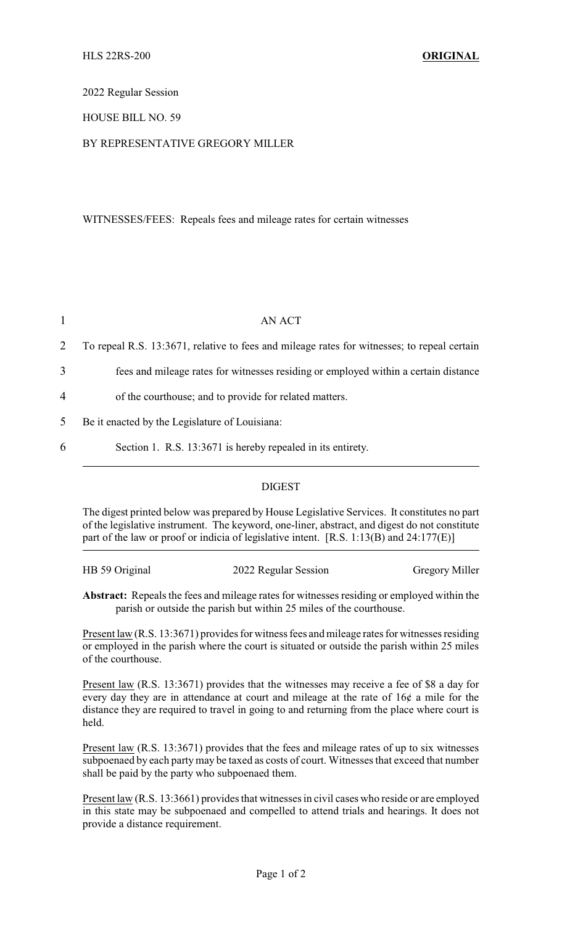2022 Regular Session

HOUSE BILL NO. 59

## BY REPRESENTATIVE GREGORY MILLER

WITNESSES/FEES: Repeals fees and mileage rates for certain witnesses

|                | AN ACT                                                                                      |  |
|----------------|---------------------------------------------------------------------------------------------|--|
| 2              | To repeal R.S. 13:3671, relative to fees and mileage rates for witnesses; to repeal certain |  |
| 3              | fees and mileage rates for witnesses residing or employed within a certain distance         |  |
| $\overline{4}$ | of the courthouse; and to provide for related matters.                                      |  |
| $\Delta$       | Be it enacted by the Legislature of Louisiana:                                              |  |
| 6              | Section 1. R.S. 13:3671 is hereby repealed in its entirety.                                 |  |

## DIGEST

The digest printed below was prepared by House Legislative Services. It constitutes no part of the legislative instrument. The keyword, one-liner, abstract, and digest do not constitute part of the law or proof or indicia of legislative intent. [R.S. 1:13(B) and 24:177(E)]

| HB 59 Original | 2022 Regular Session | <b>Gregory Miller</b> |
|----------------|----------------------|-----------------------|
|                |                      |                       |

**Abstract:** Repeals the fees and mileage rates for witnesses residing or employed within the parish or outside the parish but within 25 miles of the courthouse.

Present law (R.S. 13:3671) provides for witness fees and mileage rates for witnesses residing or employed in the parish where the court is situated or outside the parish within 25 miles of the courthouse.

Present law (R.S. 13:3671) provides that the witnesses may receive a fee of \$8 a day for every day they are in attendance at court and mileage at the rate of 16¢ a mile for the distance they are required to travel in going to and returning from the place where court is held.

Present law (R.S. 13:3671) provides that the fees and mileage rates of up to six witnesses subpoenaed by each partymay be taxed as costs of court. Witnesses that exceed that number shall be paid by the party who subpoenaed them.

Present law (R.S. 13:3661) provides that witnesses in civil cases who reside or are employed in this state may be subpoenaed and compelled to attend trials and hearings. It does not provide a distance requirement.